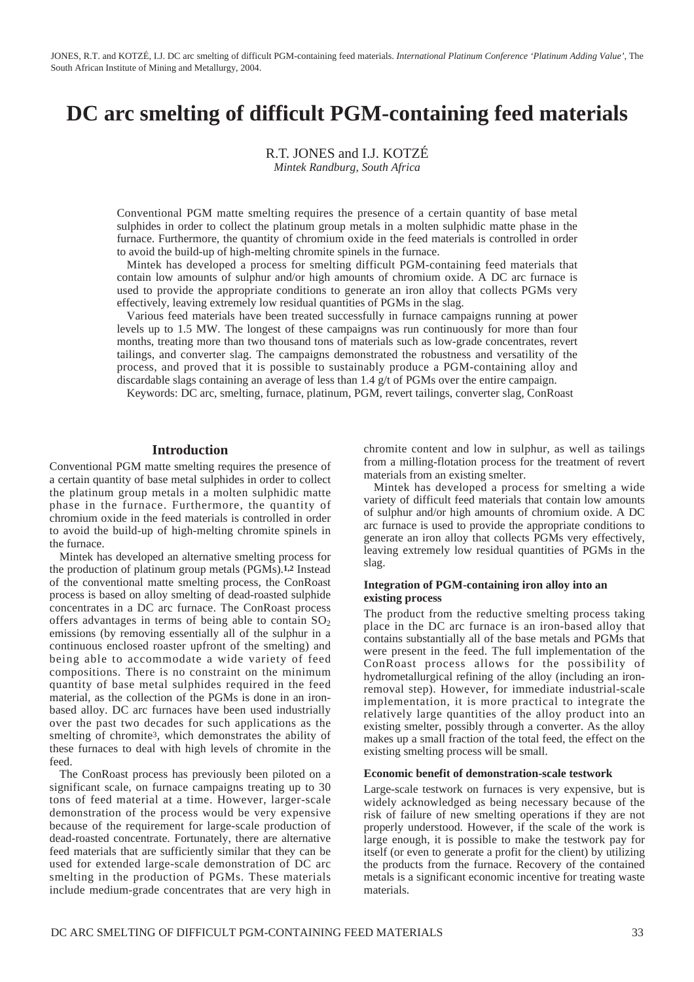JONES, R.T. and KOTZÉ, I.J. DC arc smelting of difficult PGM-containing feed materials. *International Platinum Conference 'Platinum Adding Value',* The South African Institute of Mining and Metallurgy, 2004.

# **DC arc smelting of difficult PGM-containing feed materials**

R.T. JONES and I.J. KOTZÉ

*Mintek Randburg, South Africa*

Conventional PGM matte smelting requires the presence of a certain quantity of base metal sulphides in order to collect the platinum group metals in a molten sulphidic matte phase in the furnace. Furthermore, the quantity of chromium oxide in the feed materials is controlled in order to avoid the build-up of high-melting chromite spinels in the furnace.

Mintek has developed a process for smelting difficult PGM-containing feed materials that contain low amounts of sulphur and/or high amounts of chromium oxide. A DC arc furnace is used to provide the appropriate conditions to generate an iron alloy that collects PGMs very effectively, leaving extremely low residual quantities of PGMs in the slag.

Various feed materials have been treated successfully in furnace campaigns running at power levels up to 1.5 MW. The longest of these campaigns was run continuously for more than four months, treating more than two thousand tons of materials such as low-grade concentrates, revert tailings, and converter slag. The campaigns demonstrated the robustness and versatility of the process, and proved that it is possible to sustainably produce a PGM-containing alloy and discardable slags containing an average of less than 1.4 g/t of PGMs over the entire campaign.

Keywords: DC arc, smelting, furnace, platinum, PGM, revert tailings, converter slag, ConRoast

#### **Introduction**

Conventional PGM matte smelting requires the presence of a certain quantity of base metal sulphides in order to collect the platinum group metals in a molten sulphidic matte phase in the furnace. Furthermore, the quantity of chromium oxide in the feed materials is controlled in order to avoid the build-up of high-melting chromite spinels in the furnace.

Mintek has developed an alternative smelting process for the production of platinum group metals (PGMs).**1,2** Instead of the conventional matte smelting process, the ConRoast process is based on alloy smelting of dead-roasted sulphide concentrates in a DC arc furnace. The ConRoast process offers advantages in terms of being able to contain  $SO_2$ emissions (by removing essentially all of the sulphur in a continuous enclosed roaster upfront of the smelting) and being able to accommodate a wide variety of feed compositions. There is no constraint on the minimum quantity of base metal sulphides required in the feed material, as the collection of the PGMs is done in an ironbased alloy. DC arc furnaces have been used industrially over the past two decades for such applications as the smelting of chromite3, which demonstrates the ability of these furnaces to deal with high levels of chromite in the feed.

The ConRoast process has previously been piloted on a significant scale, on furnace campaigns treating up to 30 tons of feed material at a time. However, larger-scale demonstration of the process would be very expensive because of the requirement for large-scale production of dead-roasted concentrate. Fortunately, there are alternative feed materials that are sufficiently similar that they can be used for extended large-scale demonstration of DC arc smelting in the production of PGMs. These materials include medium-grade concentrates that are very high in chromite content and low in sulphur, as well as tailings from a milling-flotation process for the treatment of revert materials from an existing smelter.

Mintek has developed a process for smelting a wide variety of difficult feed materials that contain low amounts of sulphur and/or high amounts of chromium oxide. A DC arc furnace is used to provide the appropriate conditions to generate an iron alloy that collects PGMs very effectively, leaving extremely low residual quantities of PGMs in the slag.

### **Integration of PGM-containing iron alloy into an existing process**

The product from the reductive smelting process taking place in the DC arc furnace is an iron-based alloy that contains substantially all of the base metals and PGMs that were present in the feed. The full implementation of the ConRoast process allows for the possibility of hydrometallurgical refining of the alloy (including an ironremoval step). However, for immediate industrial-scale implementation, it is more practical to integrate the relatively large quantities of the alloy product into an existing smelter, possibly through a converter. As the alloy makes up a small fraction of the total feed, the effect on the existing smelting process will be small.

#### **Economic benefit of demonstration-scale testwork**

Large-scale testwork on furnaces is very expensive, but is widely acknowledged as being necessary because of the risk of failure of new smelting operations if they are not properly understood. However, if the scale of the work is large enough, it is possible to make the testwork pay for itself (or even to generate a profit for the client) by utilizing the products from the furnace. Recovery of the contained metals is a significant economic incentive for treating waste materials.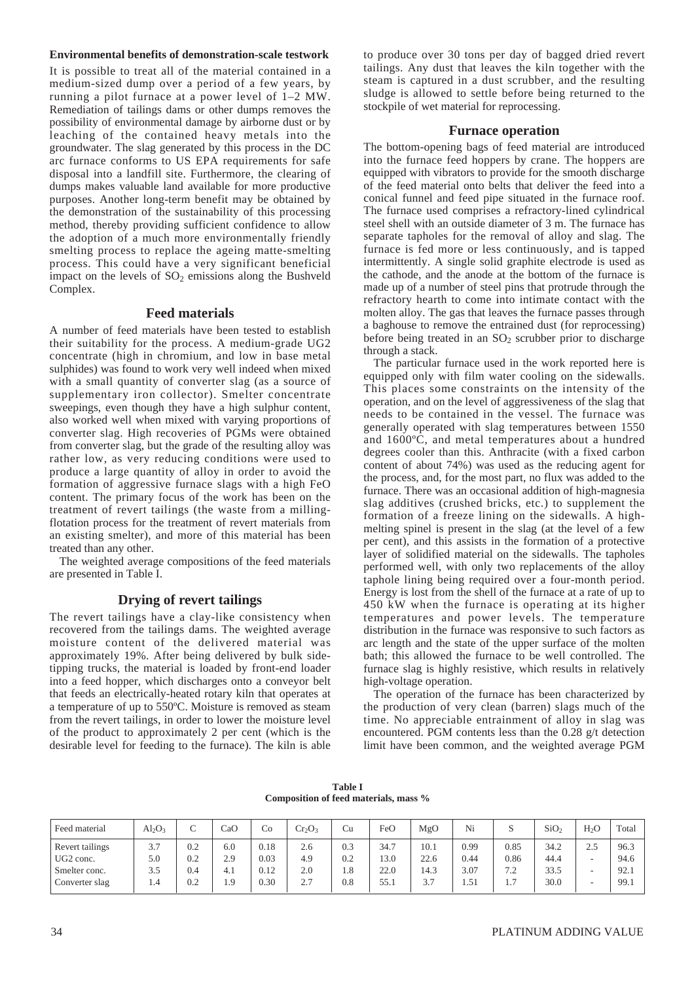#### **Environmental benefits of demonstration-scale testwork**

It is possible to treat all of the material contained in a medium-sized dump over a period of a few years, by running a pilot furnace at a power level of 1–2 MW. Remediation of tailings dams or other dumps removes the possibility of environmental damage by airborne dust or by leaching of the contained heavy metals into the groundwater. The slag generated by this process in the DC arc furnace conforms to US EPA requirements for safe disposal into a landfill site. Furthermore, the clearing of dumps makes valuable land available for more productive purposes. Another long-term benefit may be obtained by the demonstration of the sustainability of this processing method, thereby providing sufficient confidence to allow the adoption of a much more environmentally friendly smelting process to replace the ageing matte-smelting process. This could have a very significant beneficial impact on the levels of  $SO<sub>2</sub>$  emissions along the Bushveld Complex.

### **Feed materials**

A number of feed materials have been tested to establish their suitability for the process. A medium-grade UG2 concentrate (high in chromium, and low in base metal sulphides) was found to work very well indeed when mixed with a small quantity of converter slag (as a source of supplementary iron collector). Smelter concentrate sweepings, even though they have a high sulphur content, also worked well when mixed with varying proportions of converter slag. High recoveries of PGMs were obtained from converter slag, but the grade of the resulting alloy was rather low, as very reducing conditions were used to produce a large quantity of alloy in order to avoid the formation of aggressive furnace slags with a high FeO content. The primary focus of the work has been on the treatment of revert tailings (the waste from a millingflotation process for the treatment of revert materials from an existing smelter), and more of this material has been treated than any other.

The weighted average compositions of the feed materials are presented in Table I.

## **Drying of revert tailings**

The revert tailings have a clay-like consistency when recovered from the tailings dams. The weighted average moisture content of the delivered material was approximately 19%. After being delivered by bulk sidetipping trucks, the material is loaded by front-end loader into a feed hopper, which discharges onto a conveyor belt that feeds an electrically-heated rotary kiln that operates at a temperature of up to 550ºC. Moisture is removed as steam from the revert tailings, in order to lower the moisture level of the product to approximately 2 per cent (which is the desirable level for feeding to the furnace). The kiln is able to produce over 30 tons per day of bagged dried revert tailings. Any dust that leaves the kiln together with the steam is captured in a dust scrubber, and the resulting sludge is allowed to settle before being returned to the stockpile of wet material for reprocessing.

#### **Furnace operation**

The bottom-opening bags of feed material are introduced into the furnace feed hoppers by crane. The hoppers are equipped with vibrators to provide for the smooth discharge of the feed material onto belts that deliver the feed into a conical funnel and feed pipe situated in the furnace roof. The furnace used comprises a refractory-lined cylindrical steel shell with an outside diameter of 3 m. The furnace has separate tapholes for the removal of alloy and slag. The furnace is fed more or less continuously, and is tapped intermittently. A single solid graphite electrode is used as the cathode, and the anode at the bottom of the furnace is made up of a number of steel pins that protrude through the refractory hearth to come into intimate contact with the molten alloy. The gas that leaves the furnace passes through a baghouse to remove the entrained dust (for reprocessing) before being treated in an SO<sub>2</sub> scrubber prior to discharge through a stack.

The particular furnace used in the work reported here is equipped only with film water cooling on the sidewalls. This places some constraints on the intensity of the operation, and on the level of aggressiveness of the slag that needs to be contained in the vessel. The furnace was generally operated with slag temperatures between 1550 and 1600ºC, and metal temperatures about a hundred degrees cooler than this. Anthracite (with a fixed carbon content of about 74%) was used as the reducing agent for the process, and, for the most part, no flux was added to the furnace. There was an occasional addition of high-magnesia slag additives (crushed bricks, etc.) to supplement the formation of a freeze lining on the sidewalls. A highmelting spinel is present in the slag (at the level of a few per cent), and this assists in the formation of a protective layer of solidified material on the sidewalls. The tapholes performed well, with only two replacements of the alloy taphole lining being required over a four-month period. Energy is lost from the shell of the furnace at a rate of up to 450 kW when the furnace is operating at its higher temperatures and power levels. The temperature distribution in the furnace was responsive to such factors as arc length and the state of the upper surface of the molten bath; this allowed the furnace to be well controlled. The furnace slag is highly resistive, which results in relatively high-voltage operation.

The operation of the furnace has been characterized by the production of very clean (barren) slags much of the time. No appreciable entrainment of alloy in slag was encountered. PGM contents less than the 0.28 g/t detection limit have been common, and the weighted average PGM

**Table I Composition of feed materials, mass %**

| Feed material                            | $Al_2O_3$  | ◡          | CaO        | Co           | $Cr_2O_3$  | Cu         | FeO          | MgO          | Ni           |              | SiO <sub>2</sub> | H <sub>2</sub> O                | Total        |
|------------------------------------------|------------|------------|------------|--------------|------------|------------|--------------|--------------|--------------|--------------|------------------|---------------------------------|--------------|
| Revert tailings<br>UG <sub>2</sub> conc. | 3.7<br>5.0 | 0.2<br>0.2 | 6.0<br>2.9 | 0.18<br>0.03 | 2.6<br>4.9 | 0.3<br>0.2 | 34.7<br>13.0 | 10.1<br>22.6 | 0.99<br>0.44 | 0.85<br>0.86 | 34.2<br>44.4     | 2.5<br>$\overline{\phantom{a}}$ | 96.3<br>94.6 |
| Smelter conc.                            | 3.5        | 0.4        | 4.1        | 0.12         | 2.0        | 1.8        | 22.0         | 14.3         | 3.07         | 7.2          | 33.5             | ۰                               | 92.1         |
| Converter slag                           | 1.4        | 0.2        | 1.9        | 0.30         | 2.7        | 0.8        | 55.1         | 3.7          | 1.51         | 1.7          | 30.0             | ۰                               | 99.1         |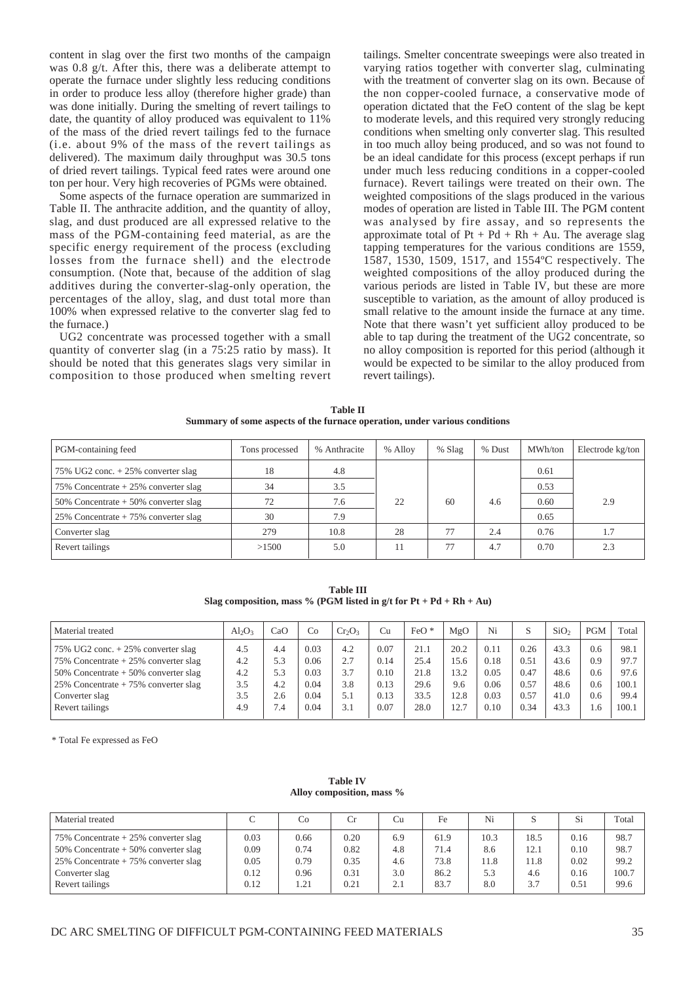content in slag over the first two months of the campaign was 0.8 g/t. After this, there was a deliberate attempt to operate the furnace under slightly less reducing conditions in order to produce less alloy (therefore higher grade) than was done initially. During the smelting of revert tailings to date, the quantity of alloy produced was equivalent to 11% of the mass of the dried revert tailings fed to the furnace (i.e. about 9% of the mass of the revert tailings as delivered). The maximum daily throughput was 30.5 tons of dried revert tailings. Typical feed rates were around one ton per hour. Very high recoveries of PGMs were obtained.

Some aspects of the furnace operation are summarized in Table II. The anthracite addition, and the quantity of alloy, slag, and dust produced are all expressed relative to the mass of the PGM-containing feed material, as are the specific energy requirement of the process (excluding losses from the furnace shell) and the electrode consumption. (Note that, because of the addition of slag additives during the converter-slag-only operation, the percentages of the alloy, slag, and dust total more than 100% when expressed relative to the converter slag fed to the furnace.)

UG2 concentrate was processed together with a small quantity of converter slag (in a 75:25 ratio by mass). It should be noted that this generates slags very similar in composition to those produced when smelting revert tailings. Smelter concentrate sweepings were also treated in varying ratios together with converter slag, culminating with the treatment of converter slag on its own. Because of the non copper-cooled furnace, a conservative mode of operation dictated that the FeO content of the slag be kept to moderate levels, and this required very strongly reducing conditions when smelting only converter slag. This resulted in too much alloy being produced, and so was not found to be an ideal candidate for this process (except perhaps if run under much less reducing conditions in a copper-cooled furnace). Revert tailings were treated on their own. The weighted compositions of the slags produced in the various modes of operation are listed in Table III. The PGM content was analysed by fire assay, and so represents the approximate total of  $Pt + Pd + Rh + Au$ . The average slag tapping temperatures for the various conditions are 1559, 1587, 1530, 1509, 1517, and 1554ºC respectively. The weighted compositions of the alloy produced during the various periods are listed in Table IV, but these are more susceptible to variation, as the amount of alloy produced is small relative to the amount inside the furnace at any time. Note that there wasn't yet sufficient alloy produced to be able to tap during the treatment of the UG2 concentrate, so no alloy composition is reported for this period (although it would be expected to be similar to the alloy produced from revert tailings).

| <b>Table II</b>                                                            |
|----------------------------------------------------------------------------|
| Summary of some aspects of the furnace operation, under various conditions |

| PGM-containing feed                    | Tons processed | % Anthracite | % Alloy | $%$ Slag | % Dust | MWh/ton | Electrode kg/ton |
|----------------------------------------|----------------|--------------|---------|----------|--------|---------|------------------|
| 75% UG2 conc. $+25%$ converter slag    | 18             | 4.8          |         |          |        | 0.61    |                  |
| 75% Concentrate $+25%$ converter slag  | 34             | 3.5          |         |          |        | 0.53    |                  |
| 50% Concentrate $+50\%$ converter slag | 72             | 7.6          | 22      | 60       | 4.6    | 0.60    | 2.9              |
| 25% Concentrate $+75%$ converter slag  | 30             | 7.9          |         |          |        | 0.65    |                  |
| Converter slag                         | 279            | 10.8         | 28      | 77       | 2.4    | 0.76    | 1.7              |
| Revert tailings                        | >1500          | 5.0          |         | 77       | 4.7    | 0.70    | 2.3              |

**Table III Slag composition, mass % (PGM listed in g/t for**  $Pt + Pd + Rh + Au$ **)** 

| Material treated                                     | $Al_2O_3$ | CaO | Co   | $Cr_2O_3$ | Cu   | $FeO*$ | MgO  | Ni   | S    | SiO <sub>2</sub> | <b>PGM</b> | Total |
|------------------------------------------------------|-----------|-----|------|-----------|------|--------|------|------|------|------------------|------------|-------|
| 75% UG2 conc. $+25%$ converter slag                  | 4.5       | 4.4 | 0.03 | 4.2       | 0.07 | 21.1   | 20.2 | 0.11 | 0.26 | 43.3             | 0.6        | 98.1  |
| 75% Concentrate $+25%$ converter slag                | 4.2       | 5.3 | 0.06 | 2.7       | 0.14 | 25.4   | 15.6 | 0.18 | 0.51 | 43.6             | 0.9        | 97.7  |
| $50\%$ Concentrate + 50% converter slag              | 4.2       | 5.3 | 0.03 | 3.7       | 0.10 | 21.8   | 13.2 | 0.05 | 0.47 | 48.6             | 0.6        | 97.6  |
| $\frac{25\%}{25\%}$ Concentrate + 75% converter slag | 3.5       | 4.2 | 0.04 | 3.8       | 0.13 | 29.6   | 9.6  | 0.06 | 0.57 | 48.6             | 0.6        | 100.1 |
| Converter slag                                       | 3.5       | 2.6 | 0.04 | 5.1       | 0.13 | 33.5   | 12.8 | 0.03 | 0.57 | 41.0             | 0.6        | 99.4  |
| Revert tailings                                      | 4.9       | 7.4 | 0.04 | 3.1       | 0.07 | 28.0   | 12.7 | 0.10 | 0.34 | 43.3             | 1.6        | 100.1 |

\* Total Fe expressed as FeO

#### **Table IV Alloy composition, mass %**

| Material treated                      |      | Co   | Cr   | Cu  | Fe   | Ni   |      | Si   | Total |
|---------------------------------------|------|------|------|-----|------|------|------|------|-------|
| 75% Concentrate $+25%$ converter slag | 0.03 | 0.66 | 0.20 | 6.9 | 61.9 | 10.3 | 18.5 | 0.16 | 98.7  |
| 50% Concentrate $+50%$ converter slag | 0.09 | 0.74 | 0.82 | 4.8 | 71.4 | 8.6  | 12.1 | 0.10 | 98.7  |
| 25% Concentrate $+75%$ converter slag | 0.05 | 0.79 | 0.35 | 4.6 | 73.8 | 11.8 | 11.8 | 0.02 | 99.2  |
| Converter slag                        | 0.12 | 0.96 | 0.31 | 3.0 | 86.2 | 5.3  | 4.6  | 0.16 | 100.7 |
| Revert tailings                       | 0.12 | 1.21 | 0.21 | 2.1 | 83.7 | 8.0  | 3.7  | 0.51 | 99.6  |